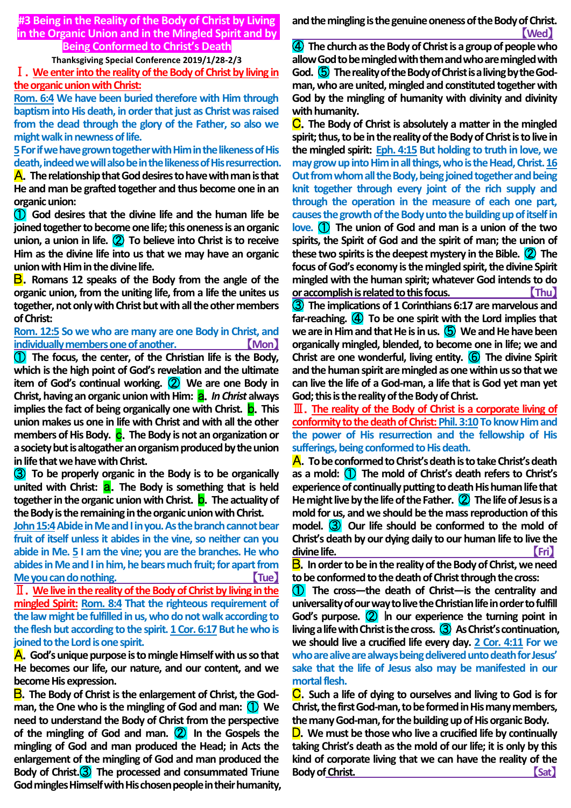# **#3 Being in the Reality of the Body of Christ by Living in the Organic Union and in the Mingled Spirit and by Being Conformed to Christ's Death**

#### **Thanksgiving Special Conference 2019/1/28-2/3**

Ⅰ.**We enter into the reality of the Body of Christ by living in the organic union with Christ:**

**Rom. 6:4 We have been buried therefore with Him through baptism into His death, in order that just as Christ was raised from the dead through the glory of the Father, so also we might walk in newness of life.**

**5For if we have grown together with Him in the likeness of His death, indeed we will also be in the likeness of His resurrection.**

A.**The relationship that God desires to have with man is that He and man be grafted together and thus become one in an organic union:**

① **God desires that the divine life and the human life be joined together to become one life; this oneness is an organic union, a union in life.** ② **To believe into Christ is to receive Him as the divine life into us that we may have an organic union with Him in the divine life.**

B.**Romans 12 speaks of the Body from the angle of the organic union, from the uniting life, from a life the unites us together, not only with Christ but with all the other members of Christ:**

## **Rom. 12:5 So we who are many are one Body in Christ, and individually members one of another.** 【**Mon**】

① **The focus, the center, of the Christian life is the Body, which is the high point of God's revelation and the ultimate item of God's continual working.** ② **We are one Body in Christ, having an organic union with Him: <b>a.** In Christ always **implies the fact of being organically one with Christ. <b>D**. This **union makes us one in life with Christ and with all the other members of His Body. c.** The Body is not an organization or **a society but is altogather an organism produced by the union in life that we have with Christ.**

③ **To be properly organic in the Body is to be organically**  united with Christ: **a**. The Body is something that is held **together in the organic union with Christ. b.** The actuality of **the Body is the remaining in the organic union with Christ.**

**John 15:4Abide in Me and I in you. As the branch cannot bear fruit of itself unless it abides in the vine, so neither can you abide in Me. 5 I am the vine; you are the branches. He who abides in Me and I in him, he bears much fruit; for apart from Me you can do nothing.** 【**Tue**】

Ⅱ.**We live in the reality of the Body of Christ by living in the mingled Spirit: Rom. 8:4 That the righteous requirement of the law might be fulfilled in us, who do not walk according to**  the flesh but according to the spirit. 1 Cor. 6:17 But he who is **joined to the Lord is one spirit.**

A.**God's unique purpose is to mingle Himself with us so that He becomes our life, our nature, and our content, and we become His expression.**

B.**The Body of Christ is the enlargement of Christ, the Godman, the One who is the mingling of God and man:** ① **We need to understand the Body of Christ from the perspective of the mingling of God and man.** ② **In the Gospels the mingling of God and man produced the Head; in Acts the enlargement of the mingling of God and man produced the Body of Christ.**③ **The processed and consummated Triune God mingles Himself with His chosen people in their humanity,**  **and the mingling is the genuine oneness of the Body of Christ.** 【**Wed**】

④ **The church as the Body of Christ is a group of people who allow God to be mingled with them and who are mingled with God.** ⑤ **The reality of the Body of Christ is a living by the Godman, who are united, mingled and constituted together with God by the mingling of humanity with divinity and divinity with humanity.**

C.**The Body of Christ is absolutely a matter in the mingled spirit; thus, to be in the reality of the Body of Christ is to live in the mingled spirit: Eph. 4:15 But holding to truth in love, we may grow up into Him in all things, who is the Head, Christ. 16 Out from whom all the Body, being joined together and being knit together through every joint of the rich supply and through the operation in the measure of each one part, causes the growth of the Body unto the building up of itself in love.** ① **The union of God and man is a union of the two spirits, the Spirit of God and the spirit of man; the union of these two spirits is the deepest mystery in the Bible.** ② **The focus of God's economy is the mingled spirit, the divine Spirit mingled with the human spirit; whatever God intends to do or accomplish is related to this focus.** 【**Thu**】

③ **The implications of 1 Corinthians 6:17 are marvelous and far-reaching.** ④ **To be one spirit with the Lord implies that we are in Him and that He is in us.** ⑤ **We and He have been organically mingled, blended, to become one in life; we and Christ are one wonderful, living entity.** ⑥ **The divine Spirit and the human spirit are mingled as one within us so that we can live the life of a God-man, a life that is God yet man yet God; this is the reality of the Body of Christ.**

Ⅲ.**The reality of the Body of Christ is a corporate living of conformity to the death of Christ: Phil. 3:10To know Him and the power of His resurrection and the fellowship of His sufferings, being conformed to His death.**

A.**To be conformed to Christ's death is to take Christ's death as a mold:** ① **The mold of Christ's death refers to Christ's experience of continually putting to death His human life that He might live by the life of the Father.** ② **The life of Jesus is a mold for us, and we should be the mass reproduction of this model.** ③ **Our life should be conformed to the mold of Christ's death by our dying daily to our human life to live the divine life.** 【**Fri**】

B.**In order to be in the reality of the Body of Christ, we need to be conformed to the death of Christ through the cross:**

① **The cross—the death of Christ—is the centrality and universality of our way to live the Christian life in order to fulfill God's purpose.** ② I**n our experience the turning point in living a life with Christ is the cross.** ③ **As Christ's continuation, we should live a crucified life every day. 2 Cor. 4:11 For we who are alive are always being delivered unto death for Jesus' sake that the life of Jesus also may be manifested in our mortal flesh.**

C.**Such a life of dying to ourselves and living to God is for Christ, the first God-man, to be formed in His many members, the many God-man, for the building up of His organic Body.**

D.**We must be those who live a crucified life by continually taking Christ's death as the mold of our life; it is only by this kind of corporate living that we can have the reality of the Body ofChrist.** 【**Sat**】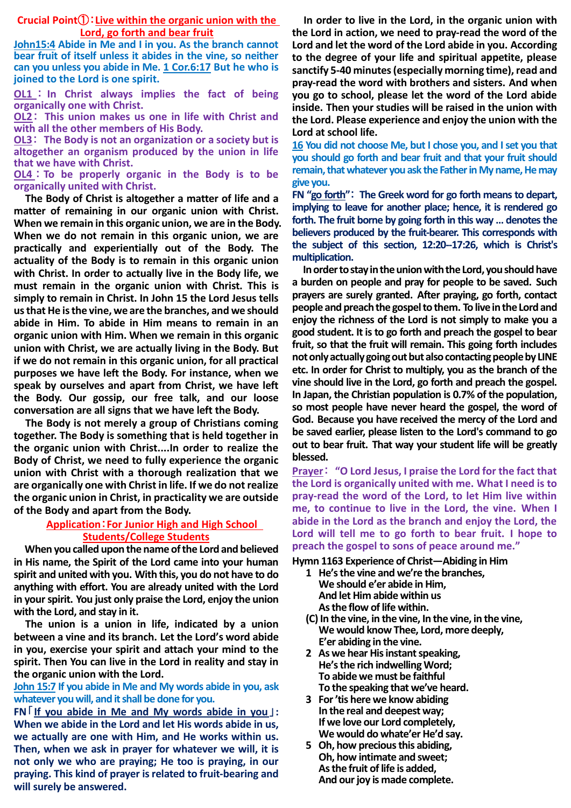## **Crucial Point**①:**Live within the organic union with the Lord, go forth and bear fruit**

**John15:4 Abide in Me and I in you. As the branch cannot bear fruit of itself unless it abides in the vine, so neither can you unless you abide in Me. 1 Cor.6:17 But he who is joined to the Lord is one spirit.**

**OL1** : **In Christ always implies the fact of being organically one with Christ.**

**OL2**: **This union makes us one in life with Christ and with all the other members of His Body.**

**OL3**: **The Body is not an organization or a society but is altogether an organism produced by the union in life that we have with Christ.**

**OL4** : **To be properly organic in the Body is to be organically united with Christ.**

**The Body of Christ is altogether a matter of life and a matter of remaining in our organic union with Christ. When we remain in this organic union, we are in the Body. When we do not remain in this organic union, we are practically and experientially out of the Body. The actuality of the Body is to remain in this organic union with Christ. In order to actually live in the Body life, we must remain in the organic union with Christ. This is simply to remain in Christ. In John 15 the Lord Jesus tells us that He is the vine, we are the branches, and we should abide in Him. To abide in Him means to remain in an organic union with Him. When we remain in this organic union with Christ, we are actually living in the Body. But if we do not remain in this organic union, for all practical purposes we have left the Body. For instance, when we speak by ourselves and apart from Christ, we have left the Body. Our gossip, our free talk, and our loose conversation are all signs that we have left the Body.**

**The Body is not merely a group of Christians coming together. The Body is something that is held together in the organic union with Christ....In order to realize the Body of Christ, we need to fully experience the organic union with Christ with a thorough realization that we are organically one with Christ in life. If we do not realize the organic union in Christ, in practicality we are outside of the Body and apart from the Body.**

# **Application**:**For Junior High and High School Students/College Students**

**When you called upon the name of the Lord and believed in His name, the Spirit of the Lord came into your human spirit and united with you. With this, you do not have to do anything with effort. You are already united with the Lord in your spirit. You just only praise the Lord, enjoy the union with the Lord, and stay in it.**

**The union is a union in life, indicated by a union between a vine and its branch. Let the Lord's word abide in you, exercise your spirit and attach your mind to the spirit. Then You can live in the Lord in reality and stay in the organic union with the Lord.**

**John 15:7 If you abide in Me and My words abide in you, ask whatever you will, and it shall be done for you.**

**FN**「**If you abide in Me and My words abide in you**」**: When we abide in the Lord and let His words abide in us, we actually are one with Him, and He works within us. Then, when we ask in prayer for whatever we will, it is not only we who are praying; He too is praying, in our praying. This kind of prayer is related to fruit-bearing and will surely be answered.**

**In order to live in the Lord, in the organic union with the Lord in action, we need to pray-read the word of the Lord and let the word of the Lord abide in you. According to the degree of your life and spiritual appetite, please sanctify 5-40 minutes (especially morning time), read and pray-read the word with brothers and sisters. And when you go to school, please let the word of the Lord abide inside. Then your studies will be raised in the union with the Lord. Please experience and enjoy the union with the Lord at school life.**

**16 You did not choose Me, but I chose you, and I set you that you should go forth and bear fruit and that your fruit should remain, that whatever you ask the Father in My name, He may give you.**

**FN "go forth"**: **The Greek word for go forth means to depart, implying to leave for another place; hence, it is rendered go forth. The fruit borne by going forth in this way … denotes the believers produced by the fruit-bearer. This corresponds with the subject of this section, 12:20--17:26, which is Christ's multiplication.**

**In order to stay in the union with the Lord, you should have a burden on people and pray for people to be saved. Such prayers are surely granted. After praying, go forth, contact people and preach the gospel to them. To live in the Lord and enjoy the richness of the Lord is not simply to make you a good student. It is to go forth and preach the gospel to bear fruit, so that the fruit will remain. This going forth includes not only actually going out but also contacting people by LINE etc. In order for Christ to multiply, you as the branch of the vine should live in the Lord, go forth and preach the gospel. In Japan, the Christian population is 0.7% of the population, so most people have never heard the gospel, the word of God. Because you have received the mercy of the Lord and be saved earlier, please listen to the Lord's command to go out to bear fruit. That way your student life will be greatly blessed.**

**Prayer**: **"O Lord Jesus, I praise the Lord for the fact that the Lord is organically united with me. What I need is to pray-read the word of the Lord, to let Him live within me, to continue to live in the Lord, the vine. When I abide in the Lord as the branch and enjoy the Lord, the Lord will tell me to go forth to bear fruit. I hope to preach the gospel to sons of peace around me."**

#### **Hymn 1163 Experience of Christ―Abiding in Him**

- **1 He's the vine and we're the branches, We should e'er abide in Him, And let Him abide within us As the flow of life within.**
- **(C) In the vine, in the vine, In the vine, in the vine, We would know Thee, Lord, more deeply, E'er abiding in the vine.**
- **2 As we hear His instant speaking, He's the rich indwelling Word; To abide we must be faithful To the speaking that we've heard.**
- **3 For 'tis here we know abiding In the real and deepest way; If we love our Lord completely, We would do whate'er He'd say.**
- **5 Oh, how precious this abiding, Oh, how intimate and sweet; As the fruit of life is added, And our joy is made complete.**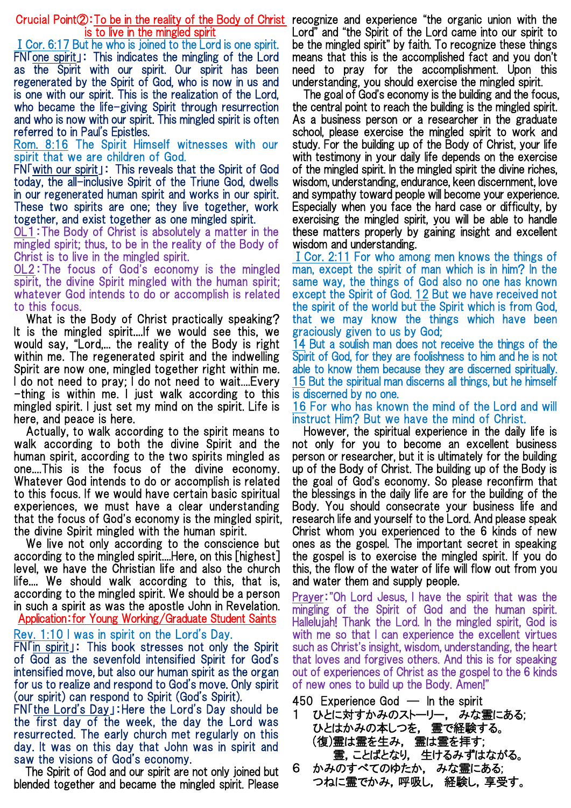Crucial Point②:To be in the reality of the Body of Christ recognize and experience "the organic union with the is to live in the mingled spirit

ⅠCor. 6:17 But he who is joined to the Lord is one spirit. FN「one spirit」: This indicates the mingling of the Lord as the Spirit with our spirit. Our spirit has been regenerated by the Spirit of God, who is now in us and is one with our spirit. This is the realization of the Lord, who became the life-giving Spirit through resurrection and who is now with our spirit. This mingled spirit is often referred to in Paul's Epistles.

Rom. 8:16 The Spirit Himself witnesses with our spirit that we are children of God.

FN「with our spirit」: This reveals that the Spirit of God today, the all-inclusive Spirit of the Triune God, dwells in our regenerated human spirit and works in our spirit. These two spirits are one; they live together, work together, and exist together as one mingled spirit.

OL1:The Body of Christ is absolutely a matter in the mingled spirit; thus, to be in the reality of the Body of Christ is to live in the mingled spirit.

OL2:The focus of God's economy is the mingled spirit, the divine Spirit mingled with the human spirit; whatever God intends to do or accomplish is related to this focus.

What is the Body of Christ practically speaking? It is the mingled spirit....If we would see this, we would say, "Lord,... the reality of the Body is right within me. The regenerated spirit and the indwelling Spirit are now one, mingled together right within me. I do not need to pray; I do not need to wait.... Every -thing is within me. I just walk according to this mingled spirit. I just set my mind on the spirit. Life is here, and peace is here.

Actually, to walk according to the spirit means to walk according to both the divine Spirit and the human spirit, according to the two spirits mingled as one....This is the focus of the divine economy. Whatever God intends to do or accomplish is related to this focus. If we would have certain basic spiritual experiences, we must have a clear understanding that the focus of God's economy is the mingled spirit, the divine Spirit mingled with the human spirit.

We live not only according to the conscience but according to the mingled spirit....Here, on this [highest] level, we have the Christian life and also the church life.... We should walk according to this, that is, according to the mingled spirit. We should be a person in such a spirit as was the apostle John in Revelation. Application:for Young Working/Graduate Student Saints

Rev. 1:10 I was in spirit on the Lord's Day.

FN「in spirit」: This book stresses not only the Spirit of God as the sevenfold intensified Spirit for God's intensified move, but also our human spirit as the organ for us to realize and respond to God's move. Only spirit (our spirit) can respond to Spirit (God's Spirit).

FN「the Lord's Day」:Here the Lord's Day should be the first day of the week, the day the Lord was resurrected. The early church met regularly on this day. It was on this day that John was in spirit and saw the visions of God's economy.

The Spirit of God and our spirit are not only joined but blended together and became the mingled spirit. Please

Lord" and "the Spirit of the Lord came into our spirit to be the mingled spirit" by faith. To recognize these things means that this is the accomplished fact and you don't need to pray for the accomplishment. Upon this understanding, you should exercise the mingled spirit.

The goal of God's economy is the building and the focus, the central point to reach the building is the mingled spirit. As a business person or a researcher in the graduate school, please exercise the mingled spirit to work and study. For the building up of the Body of Christ, your life with testimony in your daily life depends on the exercise of the mingled spirit. In the mingled spirit the divine riches, wisdom, understanding, endurance, keen discernment, love and sympathy toward people will become your experience. Especially when you face the hard case or difficulty, by exercising the mingled spirit, you will be able to handle these matters properly by gaining insight and excellent wisdom and understanding.

ⅠCor. 2:11 For who among men knows the things of man, except the spirit of man which is in him? In the same way, the things of God also no one has known except the Spirit of God. 12 But we have received not the spirit of the world but the Spirit which is from God, that we may know the things which have been graciously given to us by God;

14 But a soulish man does not receive the things of the Spirit of God, for they are foolishness to him and he is not able to know them because they are discerned spiritually. 15 But the spiritual man discerns all things, but he himself is discerned by no one.

16 For who has known the mind of the Lord and will instruct Him? But we have the mind of Christ.

However, the spiritual experience in the daily life is not only for you to become an excellent business person or researcher, but it is ultimately for the building up of the Body of Christ. The building up of the Body is the goal of God's economy. So please reconfirm that the blessings in the daily life are for the building of the Body. You should consecrate your business life and research life and yourself to the Lord. And please speak Christ whom you experienced to the 6 kinds of new ones as the gospel. The important secret in speaking the gospel is to exercise the mingled spirit. If you do this, the flow of the water of life will flow out from you and water them and supply people.

Prayer:"Oh Lord Jesus, I have the spirit that was the mingling of the Spirit of God and the human spirit. Hallelujah! Thank the Lord. In the mingled spirit, God is with me so that I can experience the excellent virtues such as Christ's insight, wisdom, understanding, the heart that loves and forgives others. And this is for speaking out of experiences of Christ as the gospel to the 6 kinds of new ones to build up the Body. Amen!"

- 450 Experience God ― In the spirit
- 1 ひとに対すかみのストーリー, みな霊にある; ひとはかみの本しつを, 霊で経験する。 (復)霊は霊を生み, 霊は霊を拝す; 霊,ことばとなり, 生けるみずはながる。
- 6 かみのすべてのゆたか, みな霊にある; つねに霊でかみ,呼吸し, 経験し,享受す。